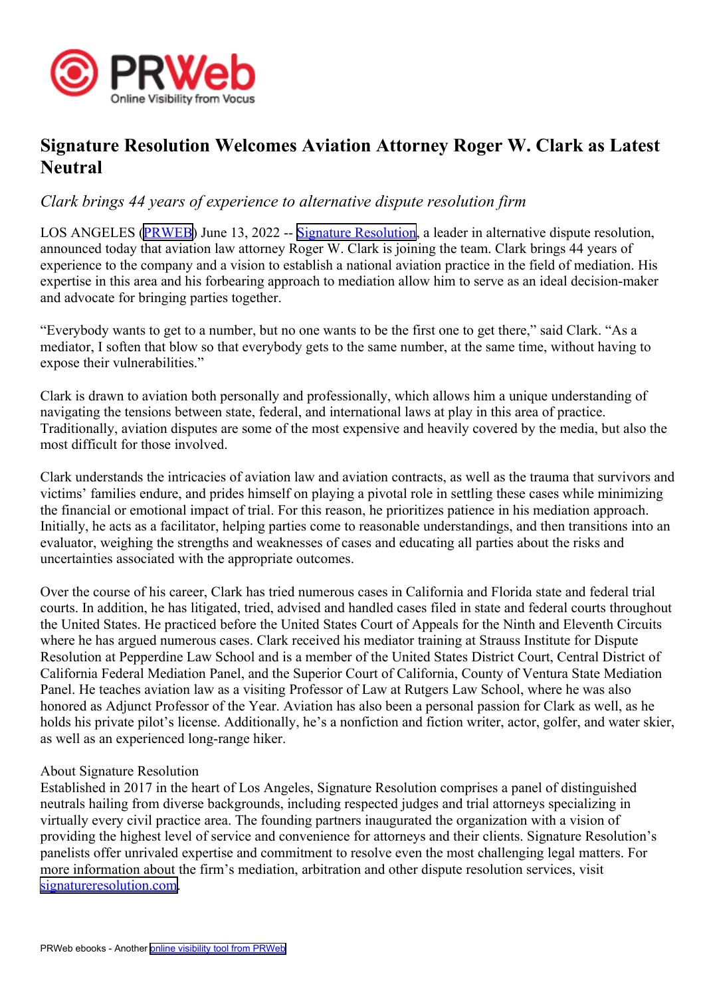

## **Signature Resolution Welcomes Aviation Attorney Roger W. Clark as Latest Neutral**

## *Clark brings 44 years of experience to alternative dispute resolution firm*

LOS ANGELES [\(PRWEB\)](http://www.prweb.com) June 13, 2022 -- Signature [Resolution](https://signatureresolution.com/), a leader in alternative dispute resolution, announced today that aviation law attorney Roger W. Clark is joining the team. Clark brings 44 years of experience to the company and <sup>a</sup> vision to establish <sup>a</sup> national aviation practice in the field of mediation. His expertise in this area and his forbearing approach to mediation allow him to serve as an ideal decision-maker and advocate for bringing parties together.

"Everybody wants to ge<sup>t</sup> to <sup>a</sup> number, but no one wants to be the first one to ge<sup>t</sup> there," said Clark. "As <sup>a</sup> mediator, I soften that blow so that everybody gets to the same number, at the same time, without having to expose their vulnerabilities."

Clark is drawn to aviation both personally and professionally, which allows him <sup>a</sup> unique understanding of navigating the tensions between state, federal, and international laws at play in this area of practice. Traditionally, aviation disputes are some of the most expensive and heavily covered by the media, but also the most difficult for those involved.

Clark understands the intricacies of aviation law and aviation contracts, as well as the trauma that survivors and victims' families endure, and prides himself on playing <sup>a</sup> pivotal role in settling these cases while minimizing the financial or emotional impact of trial. For this reason, he prioritizes patience in his mediation approach. Initially, he acts as <sup>a</sup> facilitator, helping parties come to reasonable understandings, and then transitions into an evaluator, weighing the strengths and weaknesses of cases and educating all parties about the risks and uncertainties associated with the appropriate outcomes.

Over the course of his career, Clark has tried numerous cases in California and Florida state and federal trial courts. In addition, he has litigated, tried, advised and handled cases filed in state and federal courts throughout the United States. He practiced before the United States Court of Appeals for the Ninth and Eleventh Circuits where he has argued numerous cases. Clark received his mediator training at Strauss Institute for Dispute Resolution at Pepperdine Law School and is <sup>a</sup> member of the United States District Court, Central District of California Federal Mediation Panel, and the Superior Court of California, County of Ventura State Mediation Panel. He teaches aviation law as <sup>a</sup> visiting Professor of Law at Rutgers Law School, where he was also honored as Adjunct Professor of the Year. Aviation has also been <sup>a</sup> personal passion for Clark as well, as he holds his private pilot's license. Additionally, he's <sup>a</sup> nonfiction and fiction writer, actor, golfer, and water skier, as well as an experienced long-range hiker.

## About Signature Resolution

Established in 2017 in the heart of Los Angeles, Signature Resolution comprises <sup>a</sup> panel of distinguished neutrals hailing from diverse backgrounds, including respected judges and trial attorneys specializing in virtually every civil practice area. The founding partners inaugurated the organization with <sup>a</sup> vision of providing the highest level of service and convenience for attorneys and their clients. Signature Resolution's panelists offer unrivaled expertise and commitment to resolve even the most challenging legal matters. For more information about the firm's mediation, arbitration and other dispute resolution services, visit [signatureresolution.com](https://signatureresolution.com).